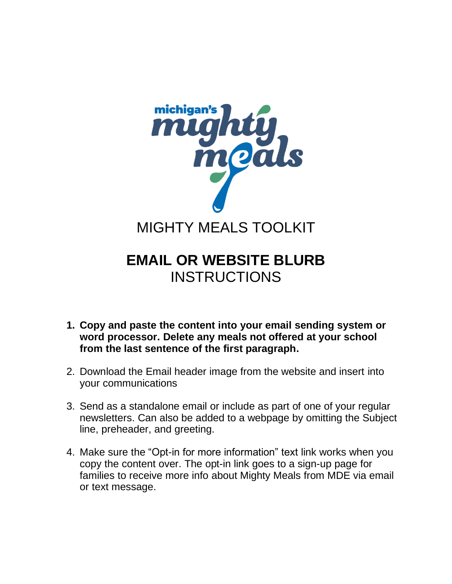

## **EMAIL OR WEBSITE BLURB INSTRUCTIONS**

- **1. Copy and paste the content into your email sending system or word processor. Delete any meals not offered at your school from the last sentence of the first paragraph.**
- 2. Download the Email header image from the website and insert into your communications
- 3. Send as a standalone email or include as part of one of your regular newsletters. Can also be added to a webpage by omitting the Subject line, preheader, and greeting.
- 4. Make sure the "Opt-in for more information" text link works when you copy the content over. The opt-in link goes to a sign-up page for families to receive more info about Mighty Meals from MDE via email or text message.